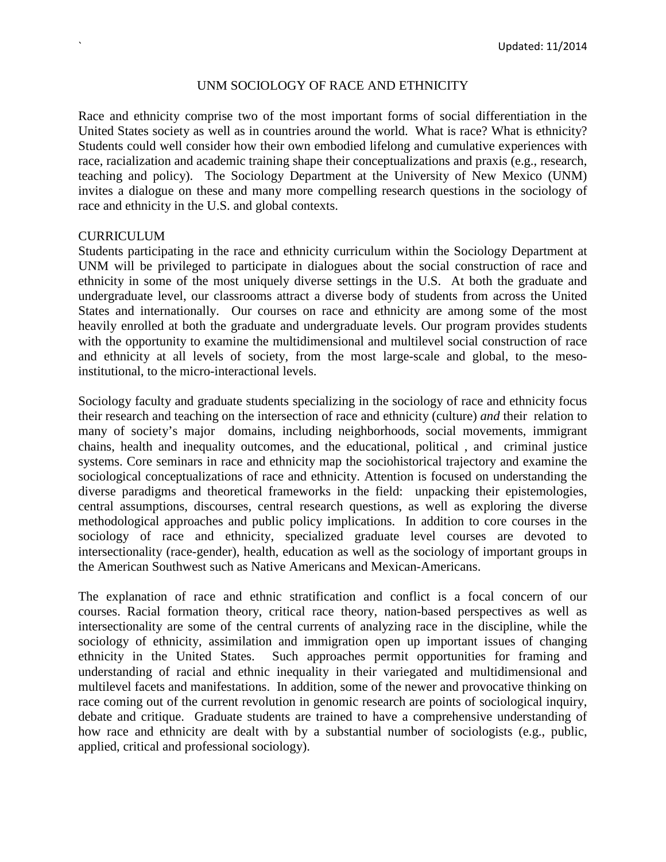#### UNM SOCIOLOGY OF RACE AND ETHNICITY

Race and ethnicity comprise two of the most important forms of social differentiation in the United States society as well as in countries around the world. What is race? What is ethnicity? Students could well consider how their own embodied lifelong and cumulative experiences with race, racialization and academic training shape their conceptualizations and praxis (e.g., research, teaching and policy). The Sociology Department at the University of New Mexico (UNM) invites a dialogue on these and many more compelling research questions in the sociology of race and ethnicity in the U.S. and global contexts.

#### **CURRICULUM**

Students participating in the race and ethnicity curriculum within the Sociology Department at UNM will be privileged to participate in dialogues about the social construction of race and ethnicity in some of the most uniquely diverse settings in the U.S. At both the graduate and undergraduate level, our classrooms attract a diverse body of students from across the United States and internationally. Our courses on race and ethnicity are among some of the most heavily enrolled at both the graduate and undergraduate levels. Our program provides students with the opportunity to examine the multidimensional and multilevel social construction of race and ethnicity at all levels of society, from the most large-scale and global, to the mesoinstitutional, to the micro-interactional levels.

Sociology faculty and graduate students specializing in the sociology of race and ethnicity focus their research and teaching on the intersection of race and ethnicity (culture) *and* their relation to many of society's major domains, including neighborhoods, social movements, immigrant chains, health and inequality outcomes, and the educational, political , and criminal justice systems. Core seminars in race and ethnicity map the sociohistorical trajectory and examine the sociological conceptualizations of race and ethnicity. Attention is focused on understanding the diverse paradigms and theoretical frameworks in the field: unpacking their epistemologies, central assumptions, discourses, central research questions, as well as exploring the diverse methodological approaches and public policy implications. In addition to core courses in the sociology of race and ethnicity, specialized graduate level courses are devoted to intersectionality (race-gender), health, education as well as the sociology of important groups in the American Southwest such as Native Americans and Mexican-Americans.

The explanation of race and ethnic stratification and conflict is a focal concern of our courses. Racial formation theory, critical race theory, nation-based perspectives as well as intersectionality are some of the central currents of analyzing race in the discipline, while the sociology of ethnicity, assimilation and immigration open up important issues of changing ethnicity in the United States. Such approaches permit opportunities for framing and understanding of racial and ethnic inequality in their variegated and multidimensional and multilevel facets and manifestations. In addition, some of the newer and provocative thinking on race coming out of the current revolution in genomic research are points of sociological inquiry, debate and critique. Graduate students are trained to have a comprehensive understanding of how race and ethnicity are dealt with by a substantial number of sociologists (e.g., public, applied, critical and professional sociology).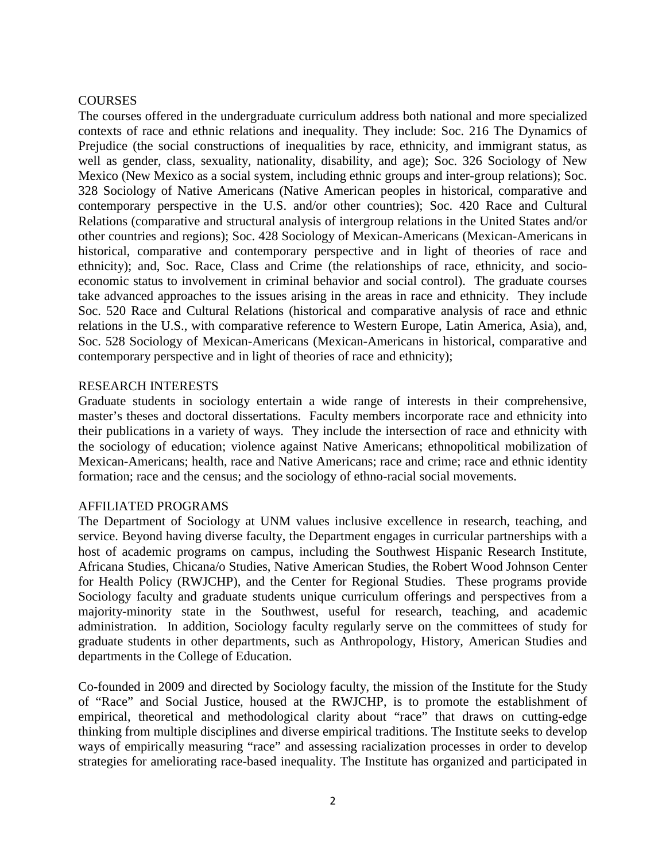## **COURSES**

The courses offered in the undergraduate curriculum address both national and more specialized contexts of race and ethnic relations and inequality. They include: Soc. 216 The Dynamics of Prejudice (the social constructions of inequalities by race, ethnicity, and immigrant status, as well as gender, class, sexuality, nationality, disability, and age); Soc. 326 Sociology of New Mexico (New Mexico as a social system, including ethnic groups and inter-group relations); Soc. 328 Sociology of Native Americans (Native American peoples in historical, comparative and contemporary perspective in the U.S. and/or other countries); Soc. 420 Race and Cultural Relations (comparative and structural analysis of intergroup relations in the United States and/or other countries and regions); Soc. 428 Sociology of Mexican-Americans (Mexican-Americans in historical, comparative and contemporary perspective and in light of theories of race and ethnicity); and, Soc. Race, Class and Crime (the relationships of race, ethnicity, and socioeconomic status to involvement in criminal behavior and social control). The graduate courses take advanced approaches to the issues arising in the areas in race and ethnicity. They include Soc. 520 Race and Cultural Relations (historical and comparative analysis of race and ethnic relations in the U.S., with comparative reference to Western Europe, Latin America, Asia), and, Soc. 528 Sociology of Mexican-Americans (Mexican-Americans in historical, comparative and contemporary perspective and in light of theories of race and ethnicity);

# RESEARCH INTERESTS

Graduate students in sociology entertain a wide range of interests in their comprehensive, master's theses and doctoral dissertations. Faculty members incorporate race and ethnicity into their publications in a variety of ways. They include the intersection of race and ethnicity with the sociology of education; violence against Native Americans; ethnopolitical mobilization of Mexican-Americans; health, race and Native Americans; race and crime; race and ethnic identity formation; race and the census; and the sociology of ethno-racial social movements.

## AFFILIATED PROGRAMS

The Department of Sociology at UNM values inclusive excellence in research, teaching, and service. Beyond having diverse faculty, the Department engages in curricular partnerships with a host of academic programs on campus, including the Southwest Hispanic Research Institute, Africana Studies, Chicana/o Studies, Native American Studies, the Robert Wood Johnson Center for Health Policy (RWJCHP), and the Center for Regional Studies. These programs provide Sociology faculty and graduate students unique curriculum offerings and perspectives from a majority-minority state in the Southwest, useful for research, teaching, and academic administration. In addition, Sociology faculty regularly serve on the committees of study for graduate students in other departments, such as Anthropology, History, American Studies and departments in the College of Education.

Co-founded in 2009 and directed by Sociology faculty, the mission of the Institute for the Study of "Race" and Social Justice, housed at the RWJCHP, is to promote the establishment of empirical, theoretical and methodological clarity about "race" that draws on cutting-edge thinking from multiple disciplines and diverse empirical traditions. The Institute seeks to develop ways of empirically measuring "race" and assessing racialization processes in order to develop strategies for ameliorating race-based inequality. The Institute has organized and participated in